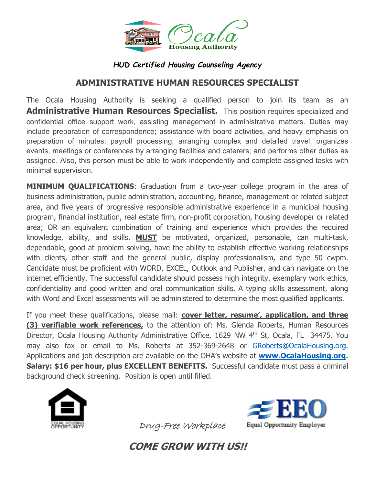

## *HUD Certified Housing Counseling Agency*

# **ADMINISTRATIVE HUMAN RESOURCES SPECIALIST**

The Ocala Housing Authority is seeking a qualified person to join its team as an **Administrative Human Resources Specialist.** This position requires specialized and confidential office support work, assisting management in administrative matters. Duties may include preparation of correspondence; assistance with board activities, and heavy emphasis on preparation of minutes; payroll processing; arranging complex and detailed travel; organizes events, meetings or conferences by arranging facilities and caterers; and performs other duties as assigned. Also, this person must be able to work independently and complete assigned tasks with minimal supervision.

**MINIMUM QUALIFICATIONS:** Graduation from a two-year college program in the area of business administration, public administration, accounting, finance, management or related subject area, and five years of progressive responsible administrative experience in a municipal housing program, financial institution, real estate firm, non-profit corporation, housing developer or related area; OR an equivalent combination of training and experience which provides the required knowledge, ability, and skills. **MUST** be motivated, organized, personable, can multi-task, dependable, good at problem solving, have the ability to establish effective working relationships with clients, other staff and the general public, display professionalism, and type 50 cwpm. Candidate must be proficient with WORD, EXCEL, Outlook and Publisher, and can navigate on the internet efficiently. The successful candidate should possess high integrity, exemplary work ethics, confidentiality and good written and oral communication skills. A typing skills assessment, along with Word and Excel assessments will be administered to determine the most qualified applicants.

If you meet these qualifications, please mail: **cover letter, resume', application, and three (3) verifiable work references,** to the attention of: Ms. Glenda Roberts, Human Resources Director, Ocala Housing Authority Administrative Office, 1629 NW 4<sup>th</sup> St, Ocala, FL 34475. You may also fax or email to Ms. Roberts at 352-369-2648 or GRoberts@OcalaHousing.org. Applications and job description are available on the OHA's website at **www.OcalaHousing.org. Salary: \$16 per hour, plus EXCELLENT BENEFITS.** Successful candidate must pass a criminal background check screening. Position is open until filled.





Drug-Free Workplace

**COME GROW WITH US!!**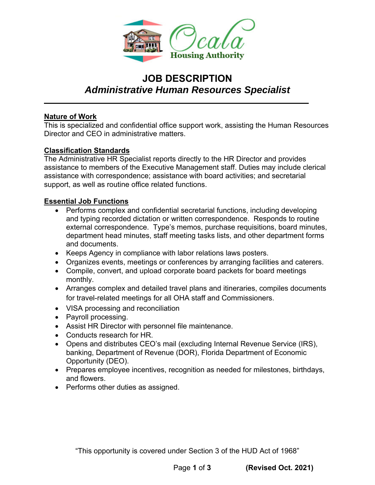

# **JOB DESCRIPTION**  *Administrative Human Resources Specialist*

#### **Nature of Work**

This is specialized and confidential office support work, assisting the Human Resources Director and CEO in administrative matters.

#### **Classification Standards**

The Administrative HR Specialist reports directly to the HR Director and provides assistance to members of the Executive Management staff. Duties may include clerical assistance with correspondence; assistance with board activities; and secretarial support, as well as routine office related functions.

#### **Essential Job Functions**

- Performs complex and confidential secretarial functions, including developing and typing recorded dictation or written correspondence. Responds to routine external correspondence. Type's memos, purchase requisitions, board minutes, department head minutes, staff meeting tasks lists, and other department forms and documents.
- Keeps Agency in compliance with labor relations laws posters.
- Organizes events, meetings or conferences by arranging facilities and caterers.
- Compile, convert, and upload corporate board packets for board meetings monthly.
- Arranges complex and detailed travel plans and itineraries, compiles documents for travel-related meetings for all OHA staff and Commissioners.
- VISA processing and reconciliation
- Payroll processing.
- Assist HR Director with personnel file maintenance.
- Conducts research for HR.
- Opens and distributes CEO's mail (excluding Internal Revenue Service (IRS), banking, Department of Revenue (DOR), Florida Department of Economic Opportunity (DEO).
- Prepares employee incentives, recognition as needed for milestones, birthdays, and flowers.
- Performs other duties as assigned.

"This opportunity is covered under Section 3 of the HUD Act of 1968"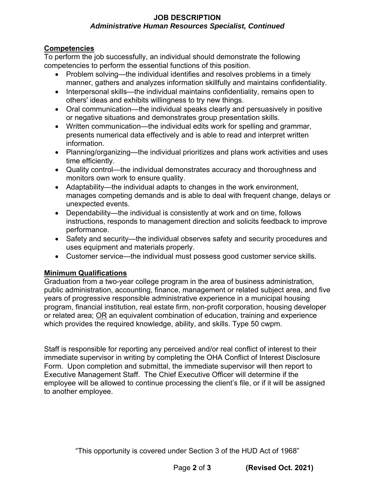#### **JOB DESCRIPTION**  *Administrative Human Resources Specialist, Continued*

#### **Competencies**

To perform the job successfully, an individual should demonstrate the following competencies to perform the essential functions of this position.

- Problem solving—the individual identifies and resolves problems in a timely manner, gathers and analyzes information skillfully and maintains confidentiality.
- Interpersonal skills—the individual maintains confidentiality, remains open to others' ideas and exhibits willingness to try new things.
- Oral communication—the individual speaks clearly and persuasively in positive or negative situations and demonstrates group presentation skills.
- Written communication—the individual edits work for spelling and grammar, presents numerical data effectively and is able to read and interpret written information.
- Planning/organizing—the individual prioritizes and plans work activities and uses time efficiently.
- Quality control—the individual demonstrates accuracy and thoroughness and monitors own work to ensure quality.
- Adaptability—the individual adapts to changes in the work environment, manages competing demands and is able to deal with frequent change, delays or unexpected events.
- Dependability—the individual is consistently at work and on time, follows instructions, responds to management direction and solicits feedback to improve performance.
- Safety and security—the individual observes safety and security procedures and uses equipment and materials properly.
- Customer service—the individual must possess good customer service skills.

### **Minimum Qualifications**

Graduation from a two-year college program in the area of business administration, public administration, accounting, finance, management or related subject area, and five years of progressive responsible administrative experience in a municipal housing program, financial institution, real estate firm, non-profit corporation, housing developer or related area; OR an equivalent combination of education, training and experience which provides the required knowledge, ability, and skills. Type 50 cwpm.

Staff is responsible for reporting any perceived and/or real conflict of interest to their immediate supervisor in writing by completing the OHA Conflict of Interest Disclosure Form. Upon completion and submittal, the immediate supervisor will then report to Executive Management Staff. The Chief Executive Officer will determine if the employee will be allowed to continue processing the client's file, or if it will be assigned to another employee.

"This opportunity is covered under Section 3 of the HUD Act of 1968"